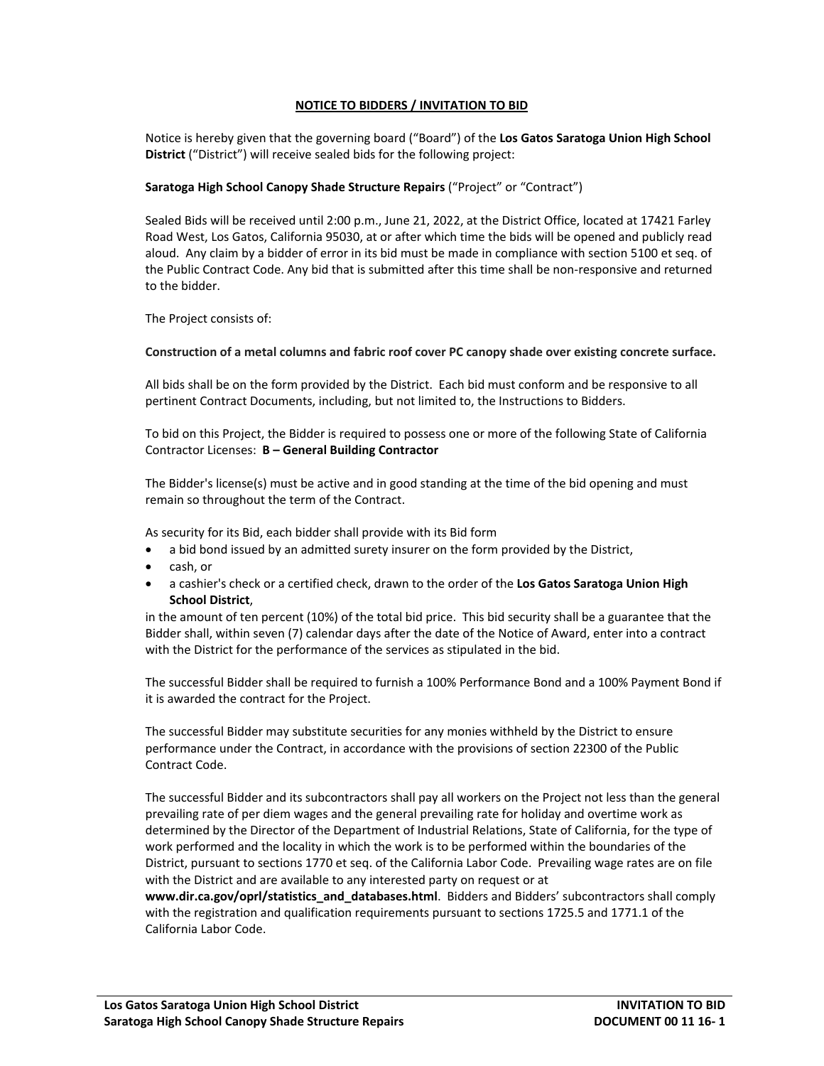## **NOTICE TO BIDDERS / INVITATION TO BID**

Notice is hereby given that the governing board ("Board") of the **Los Gatos Saratoga Union High School District** ("District") will receive sealed bids for the following project:

## **Saratoga High School Canopy Shade Structure Repairs** ("Project" or "Contract")

Sealed Bids will be received until 2:00 p.m., June 21, 2022, at the District Office, located at 17421 Farley Road West, Los Gatos, California 95030, at or after which time the bids will be opened and publicly read aloud. Any claim by a bidder of error in its bid must be made in compliance with section 5100 et seq. of the Public Contract Code. Any bid that is submitted after this time shall be non-responsive and returned to the bidder.

The Project consists of:

**Construction of a metal columns and fabric roof cover PC canopy shade over existing concrete surface.**

All bids shall be on the form provided by the District. Each bid must conform and be responsive to all pertinent Contract Documents, including, but not limited to, the Instructions to Bidders.

To bid on this Project, the Bidder is required to possess one or more of the following State of California Contractor Licenses: **B – General Building Contractor**

The Bidder's license(s) must be active and in good standing at the time of the bid opening and must remain so throughout the term of the Contract.

As security for its Bid, each bidder shall provide with its Bid form

- a bid bond issued by an admitted surety insurer on the form provided by the District,
- cash, or
- a cashier's check or a certified check, drawn to the order of the **Los Gatos Saratoga Union High School District**,

in the amount of ten percent (10%) of the total bid price. This bid security shall be a guarantee that the Bidder shall, within seven (7) calendar days after the date of the Notice of Award, enter into a contract with the District for the performance of the services as stipulated in the bid.

The successful Bidder shall be required to furnish a 100% Performance Bond and a 100% Payment Bond if it is awarded the contract for the Project.

The successful Bidder may substitute securities for any monies withheld by the District to ensure performance under the Contract, in accordance with the provisions of section 22300 of the Public Contract Code.

The successful Bidder and its subcontractors shall pay all workers on the Project not less than the general prevailing rate of per diem wages and the general prevailing rate for holiday and overtime work as determined by the Director of the Department of Industrial Relations, State of California, for the type of work performed and the locality in which the work is to be performed within the boundaries of the District, pursuant to sections 1770 et seq. of the California Labor Code. Prevailing wage rates are on file with the District and are available to any interested party on request or at

**www.dir.ca.gov/oprl/statistics\_and\_databases.html**. Bidders and Bidders' subcontractors shall comply with the registration and qualification requirements pursuant to sections 1725.5 and 1771.1 of the California Labor Code.